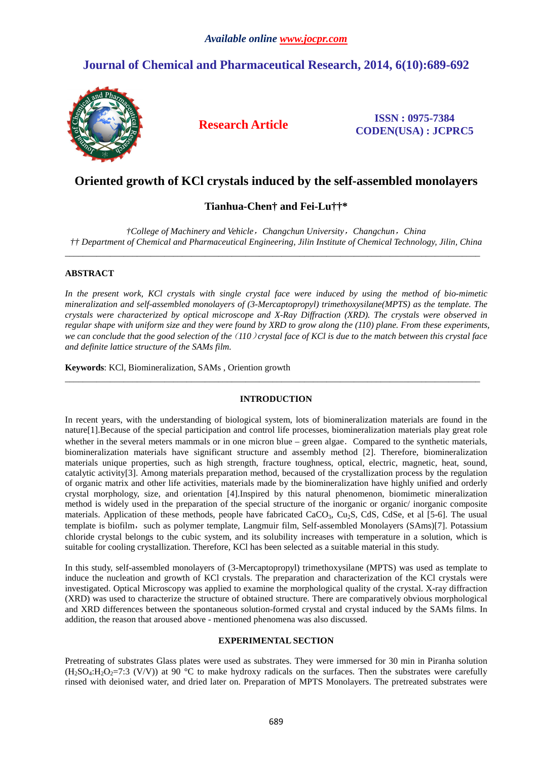# **Journal of Chemical and Pharmaceutical Research, 2014, 6(10):689-692**



**Research Article ISSN : 0975-7384 CODEN(USA) : JCPRC5**

# **Oriented growth of KCl crystals induced by the self-assembled monolayers**

# **Tianhua-Chen† and Fei-Lu††\***

*†College of Machinery and Vehicle*,*Changchun University*,*Changchun*,*China †† Department of Chemical and Pharmaceutical Engineering, Jilin Institute of Chemical Technology, Jilin, China*  \_\_\_\_\_\_\_\_\_\_\_\_\_\_\_\_\_\_\_\_\_\_\_\_\_\_\_\_\_\_\_\_\_\_\_\_\_\_\_\_\_\_\_\_\_\_\_\_\_\_\_\_\_\_\_\_\_\_\_\_\_\_\_\_\_\_\_\_\_\_\_\_\_\_\_\_\_\_\_\_\_\_\_\_\_\_\_\_\_\_\_\_

## **ABSTRACT**

*In the present work, KCl crystals with single crystal face were induced by using the method of bio-mimetic mineralization and self-assembled monolayers of (3-Mercaptopropyl) trimethoxysilane(MPTS) as the template. The crystals were characterized by optical microscope and X-Ray Diffraction (XRD). The crystals were observed in regular shape with uniform size and they were found by XRD to grow along the (110) plane. From these experiments, we can conclude that the good selection of the*(*110*)*crystal face of KCl is due to the match between this crystal face and definite lattice structure of the SAMs film.* 

**Keywords**: KCl, Biomineralization, SAMs , Oriention growth

### **INTRODUCTION**

\_\_\_\_\_\_\_\_\_\_\_\_\_\_\_\_\_\_\_\_\_\_\_\_\_\_\_\_\_\_\_\_\_\_\_\_\_\_\_\_\_\_\_\_\_\_\_\_\_\_\_\_\_\_\_\_\_\_\_\_\_\_\_\_\_\_\_\_\_\_\_\_\_\_\_\_\_\_\_\_\_\_\_\_\_\_\_\_\_\_\_\_

In recent years, with the understanding of biological system, lots of biomineralization materials are found in the nature[1].Because of the special participation and control life processes, biomineralization materials play great role whether in the several meters mammals or in one micron blue – green algae. Compared to the synthetic materials, biomineralization materials have significant structure and assembly method [2]. Therefore, biomineralization materials unique properties, such as high strength, fracture toughness, optical, electric, magnetic, heat, sound, catalytic activity[3]. Among materials preparation method, becaused of the crystallization process by the regulation of organic matrix and other life activities, materials made by the biomineralization have highly unified and orderly crystal morphology, size, and orientation [4].Inspired by this natural phenomenon, biomimetic mineralization method is widely used in the preparation of the special structure of the inorganic or organic/ inorganic composite materials. Application of these methods, people have fabricated CaCO<sub>3</sub>, Cu<sub>2</sub>S, CdS, CdSe, et al [5-6]. The usual template is biofilm, such as polymer template, Langmuir film, Self-assembled Monolayers (SAms)[7]. Potassium chloride crystal belongs to the cubic system, and its solubility increases with temperature in a solution, which is suitable for cooling crystallization. Therefore, KCl has been selected as a suitable material in this study.

In this study, self-assembled monolayers of (3-Mercaptopropyl) trimethoxysilane (MPTS) was used as template to induce the nucleation and growth of KCl crystals. The preparation and characterization of the KCl crystals were investigated. Optical Microscopy was applied to examine the morphological quality of the crystal. X-ray diffraction (XRD) was used to characterize the structure of obtained structure. There are comparatively obvious morphological and XRD differences between the spontaneous solution-formed crystal and crystal induced by the SAMs films. In addition, the reason that aroused above - mentioned phenomena was also discussed.

### **EXPERIMENTAL SECTION**

Pretreating of substrates Glass plates were used as substrates. They were immersed for 30 min in Piranha solution  $(H_2SO_4:H_2O_2=7:3$  (V/V)) at 90 °C to make hydroxy radicals on the surfaces. Then the substrates were carefully rinsed with deionised water, and dried later on. Preparation of MPTS Monolayers. The pretreated substrates were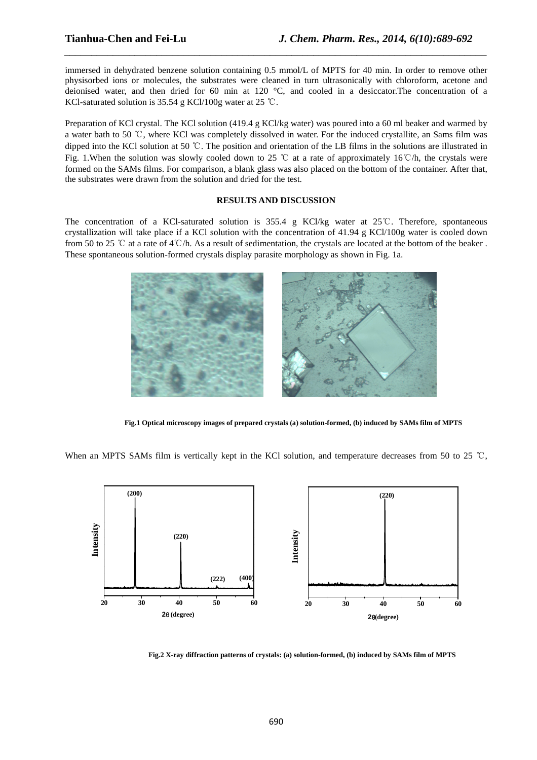immersed in dehydrated benzene solution containing 0.5 mmol/L of MPTS for 40 min. In order to remove other physisorbed ions or molecules, the substrates were cleaned in turn ultrasonically with chloroform, acetone and deionised water, and then dried for 60 min at 120 °C, and cooled in a desiccator.The concentration of a KCl-saturated solution is 35.54 g KCl/100g water at 25 ℃.

*\_\_\_\_\_\_\_\_\_\_\_\_\_\_\_\_\_\_\_\_\_\_\_\_\_\_\_\_\_\_\_\_\_\_\_\_\_\_\_\_\_\_\_\_\_\_\_\_\_\_\_\_\_\_\_\_\_\_\_\_\_\_\_\_\_\_\_\_\_\_\_\_\_\_\_\_\_\_*

Preparation of KCl crystal. The KCl solution (419.4 g KCl/kg water) was poured into a 60 ml beaker and warmed by a water bath to 50 ℃, where KCl was completely dissolved in water. For the induced crystallite, an Sams film was dipped into the KCl solution at 50 ℃. The position and orientation of the LB films in the solutions are illustrated in Fig. 1.When the solution was slowly cooled down to 25 ℃ at a rate of approximately 16℃/h, the crystals were formed on the SAMs films. For comparison, a blank glass was also placed on the bottom of the container. After that, the substrates were drawn from the solution and dried for the test.

### **RESULTS AND DISCUSSION**

The concentration of a KCl-saturated solution is 355.4 g KCl/kg water at 25℃. Therefore, spontaneous crystallization will take place if a KCl solution with the concentration of 41.94 g KCl/100g water is cooled down from 50 to 25 ℃ at a rate of 4℃/h. As a result of sedimentation, the crystals are located at the bottom of the beaker . These spontaneous solution-formed crystals display parasite morphology as shown in Fig. 1a.



**Fig.1 Optical microscopy images of prepared crystals (a) solution-formed, (b) induced by SAMs film of MPTS** 

When an MPTS SAMs film is vertically kept in the KCl solution, and temperature decreases from 50 to 25 ℃,



**Fig.2 X-ray diffraction patterns of crystals: (a) solution-formed, (b) induced by SAMs film of MPTS**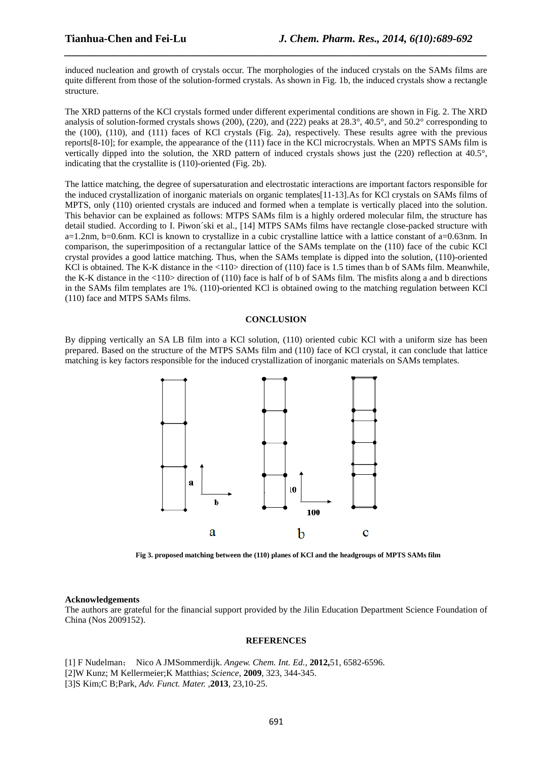induced nucleation and growth of crystals occur. The morphologies of the induced crystals on the SAMs films are quite different from those of the solution-formed crystals. As shown in Fig. 1b, the induced crystals show a rectangle structure.

*\_\_\_\_\_\_\_\_\_\_\_\_\_\_\_\_\_\_\_\_\_\_\_\_\_\_\_\_\_\_\_\_\_\_\_\_\_\_\_\_\_\_\_\_\_\_\_\_\_\_\_\_\_\_\_\_\_\_\_\_\_\_\_\_\_\_\_\_\_\_\_\_\_\_\_\_\_\_*

The XRD patterns of the KCl crystals formed under different experimental conditions are shown in Fig. 2. The XRD analysis of solution-formed crystals shows (200), (220), and (222) peaks at  $28.3^{\circ}$ ,  $40.5^{\circ}$ , and  $50.2^{\circ}$  corresponding to the (100), (110), and (111) faces of KCl crystals (Fig. 2a), respectively. These results agree with the previous reports[8-10]; for example, the appearance of the (111) face in the KCl microcrystals. When an MPTS SAMs film is vertically dipped into the solution, the XRD pattern of induced crystals shows just the (220) reflection at 40.5°, indicating that the crystallite is (110)-oriented (Fig. 2b).

The lattice matching, the degree of supersaturation and electrostatic interactions are important factors responsible for the induced crystallization of inorganic materials on organic templates[11-13].As for KCl crystals on SAMs films of MPTS, only (110) oriented crystals are induced and formed when a template is vertically placed into the solution. This behavior can be explained as follows: MTPS SAMs film is a highly ordered molecular film, the structure has detail studied. According to I. Piwon´ski et al., [14] MTPS SAMs films have rectangle close-packed structure with a=1.2nm, b=0.6nm. KCl is known to crystallize in a cubic crystalline lattice with a lattice constant of a=0.63nm. In comparison, the superimposition of a rectangular lattice of the SAMs template on the (110) face of the cubic KCl crystal provides a good lattice matching. Thus, when the SAMs template is dipped into the solution, (110)-oriented KCl is obtained. The K-K distance in the <110> direction of (110) face is 1.5 times than b of SAMs film. Meanwhile, the K-K distance in the <110> direction of (110) face is half of b of SAMs film. The misfits along a and b directions in the SAMs film templates are 1%. (110)-oriented KCl is obtained owing to the matching regulation between KCl (110) face and MTPS SAMs films.

#### **CONCLUSION**

By dipping vertically an SA LB film into a KCl solution, (110) oriented cubic KCl with a uniform size has been prepared. Based on the structure of the MTPS SAMs film and (110) face of KCl crystal, it can conclude that lattice matching is key factors responsible for the induced crystallization of inorganic materials on SAMs templates.



**Fig 3. proposed matching between the (110) planes of KCl and the headgroups of MPTS SAMs film** 

#### **Acknowledgements**

The authors are grateful for the financial support provided by the Jilin Education Department Science Foundation of China (Nos 2009152).

#### **REFERENCES**

- [1] F Nudelman; Nico A JMSommerdijk. *Angew. Chem. Int. Ed.,* **2012,**51, 6582-6596.
- [2]W Kunz; M Kellermeier;K Matthias; *Science*, **2009**, 323, 344-345.
- [3]S Kim;C B;Park, *Adv. Funct. Mater.* ,**2013**, 23,10-25.